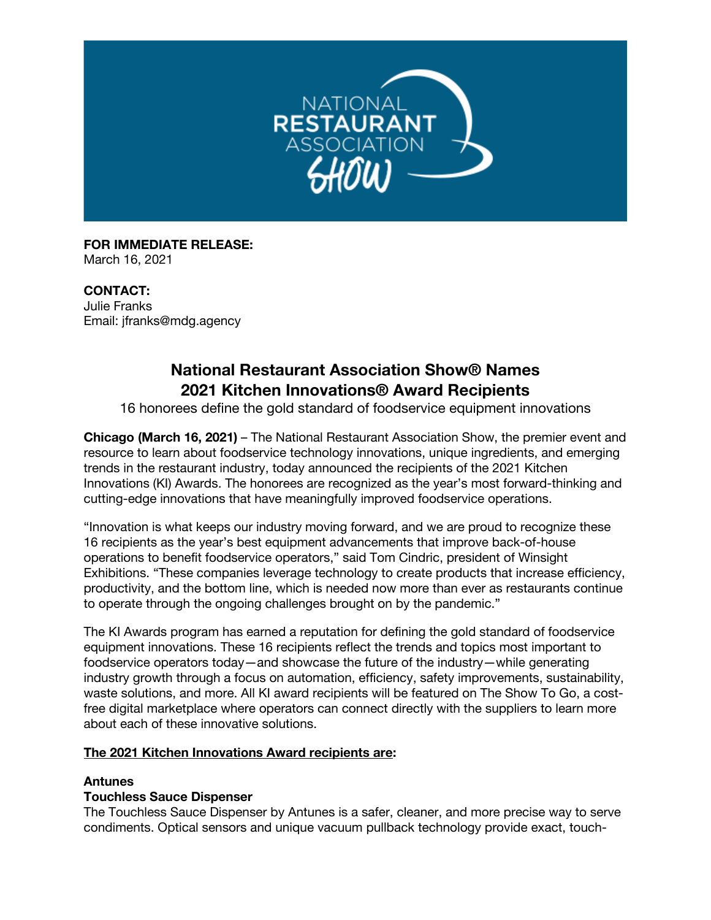

**FOR IMMEDIATE RELEASE:** March 16, 2021

**CONTACT:** Julie Franks Email: jfranks@mdg.agency

# **National Restaurant Association Show® Names 2021 Kitchen Innovations® Award Recipients**

16 honorees define the gold standard of foodservice equipment innovations

**Chicago (March 16, 2021)** – The National Restaurant Association Show, the premier event and resource to learn about foodservice technology innovations, unique ingredients, and emerging trends in the restaurant industry, today announced the recipients of the 2021 Kitchen Innovations (KI) Awards. The honorees are recognized as the year's most forward-thinking and cutting-edge innovations that have meaningfully improved foodservice operations.

"Innovation is what keeps our industry moving forward, and we are proud to recognize these 16 recipients as the year's best equipment advancements that improve back-of-house operations to benefit foodservice operators," said Tom Cindric, president of Winsight Exhibitions. "These companies leverage technology to create products that increase efficiency, productivity, and the bottom line, which is needed now more than ever as restaurants continue to operate through the ongoing challenges brought on by the pandemic."

The KI Awards program has earned a reputation for defining the gold standard of foodservice equipment innovations. These 16 recipients reflect the trends and topics most important to foodservice operators today—and showcase the future of the industry—while generating industry growth through a focus on automation, efficiency, safety improvements, sustainability, waste solutions, and more. All KI award recipients will be featured on The Show To Go, a costfree digital marketplace where operators can connect directly with the suppliers to learn more about each of these innovative solutions.

#### **The 2021 Kitchen Innovations Award recipients are:**

#### **Antunes**

#### **Touchless Sauce Dispenser**

The Touchless Sauce Dispenser by Antunes is a safer, cleaner, and more precise way to serve condiments. Optical sensors and unique vacuum pullback technology provide exact, touch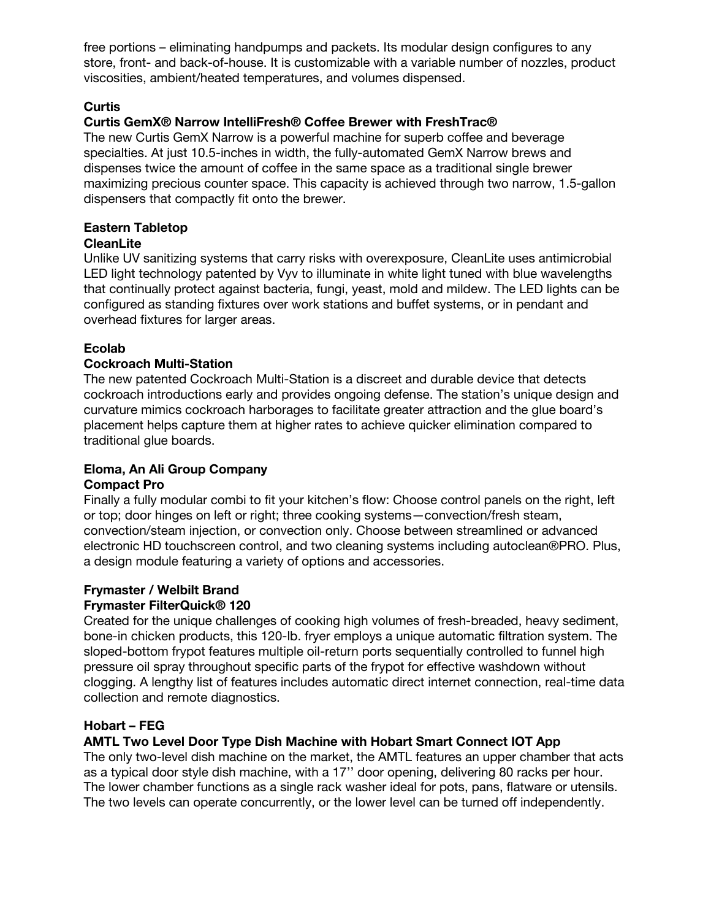free portions – eliminating handpumps and packets. Its modular design configures to any store, front- and back-of-house. It is customizable with a variable number of nozzles, product viscosities, ambient/heated temperatures, and volumes dispensed.

## **Curtis**

## **Curtis GemX® Narrow IntelliFresh® Coffee Brewer with FreshTrac®**

The new Curtis GemX Narrow is a powerful machine for superb coffee and beverage specialties. At just 10.5-inches in width, the fully-automated GemX Narrow brews and dispenses twice the amount of coffee in the same space as a traditional single brewer maximizing precious counter space. This capacity is achieved through two narrow, 1.5-gallon dispensers that compactly fit onto the brewer.

## **Eastern Tabletop**

#### **CleanLite**

Unlike UV sanitizing systems that carry risks with overexposure, CleanLite uses antimicrobial LED light technology patented by Vyv to illuminate in white light tuned with blue wavelengths that continually protect against bacteria, fungi, yeast, mold and mildew. The LED lights can be configured as standing fixtures over work stations and buffet systems, or in pendant and overhead fixtures for larger areas.

## **Ecolab**

## **Cockroach Multi-Station**

The new patented Cockroach Multi-Station is a discreet and durable device that detects cockroach introductions early and provides ongoing defense. The station's unique design and curvature mimics cockroach harborages to facilitate greater attraction and the glue board's placement helps capture them at higher rates to achieve quicker elimination compared to traditional glue boards.

#### **Eloma, An Ali Group Company**

#### **Compact Pro**

Finally a fully modular combi to fit your kitchen's flow: Choose control panels on the right, left or top; door hinges on left or right; three cooking systems—convection/fresh steam, convection/steam injection, or convection only. Choose between streamlined or advanced electronic HD touchscreen control, and two cleaning systems including autoclean®PRO. Plus, a design module featuring a variety of options and accessories.

#### **Frymaster / Welbilt Brand**

#### **Frymaster FilterQuick® 120**

Created for the unique challenges of cooking high volumes of fresh-breaded, heavy sediment, bone-in chicken products, this 120-lb. fryer employs a unique automatic filtration system. The sloped-bottom frypot features multiple oil-return ports sequentially controlled to funnel high pressure oil spray throughout specific parts of the frypot for effective washdown without clogging. A lengthy list of features includes automatic direct internet connection, real-time data collection and remote diagnostics.

## **Hobart – FEG**

#### **AMTL Two Level Door Type Dish Machine with Hobart Smart Connect IOT App**

The only two-level dish machine on the market, the AMTL features an upper chamber that acts as a typical door style dish machine, with a 17'' door opening, delivering 80 racks per hour. The lower chamber functions as a single rack washer ideal for pots, pans, flatware or utensils. The two levels can operate concurrently, or the lower level can be turned off independently.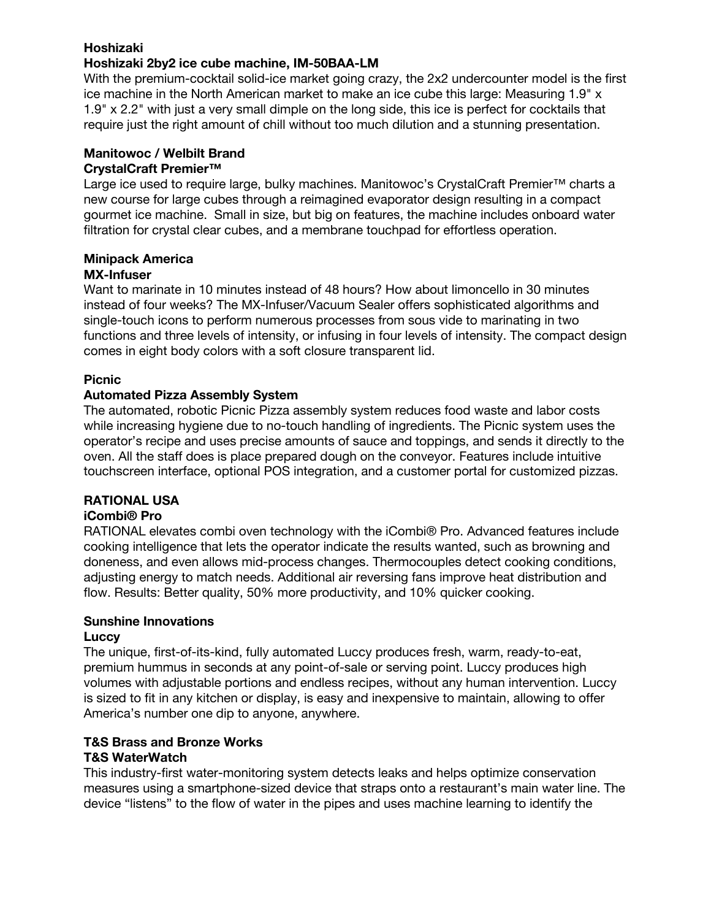## **Hoshizaki**

#### **Hoshizaki 2by2 ice cube machine, IM-50BAA-LM**

With the premium-cocktail solid-ice market going crazy, the 2x2 undercounter model is the first ice machine in the North American market to make an ice cube this large: Measuring 1.9" x 1.9" x 2.2" with just a very small dimple on the long side, this ice is perfect for cocktails that require just the right amount of chill without too much dilution and a stunning presentation.

#### **Manitowoc / Welbilt Brand CrystalCraft Premier™**

Large ice used to require large, bulky machines. Manitowoc's CrystalCraft Premier™ charts a new course for large cubes through a reimagined evaporator design resulting in a compact gourmet ice machine. Small in size, but big on features, the machine includes onboard water filtration for crystal clear cubes, and a membrane touchpad for effortless operation.

#### **Minipack America**

## **MX-Infuser**

Want to marinate in 10 minutes instead of 48 hours? How about limoncello in 30 minutes instead of four weeks? The MX-Infuser/Vacuum Sealer offers sophisticated algorithms and single-touch icons to perform numerous processes from sous vide to marinating in two functions and three levels of intensity, or infusing in four levels of intensity. The compact design comes in eight body colors with a soft closure transparent lid.

## **Picnic**

#### **Automated Pizza Assembly System**

The automated, robotic Picnic Pizza assembly system reduces food waste and labor costs while increasing hygiene due to no-touch handling of ingredients. The Picnic system uses the operator's recipe and uses precise amounts of sauce and toppings, and sends it directly to the oven. All the staff does is place prepared dough on the conveyor. Features include intuitive touchscreen interface, optional POS integration, and a customer portal for customized pizzas.

## **RATIONAL USA**

#### **iCombi® Pro**

RATIONAL elevates combi oven technology with the iCombi® Pro. Advanced features include cooking intelligence that lets the operator indicate the results wanted, such as browning and doneness, and even allows mid-process changes. Thermocouples detect cooking conditions, adjusting energy to match needs. Additional air reversing fans improve heat distribution and flow. Results: Better quality, 50% more productivity, and 10% quicker cooking.

#### **Sunshine Innovations**

#### **Luccy**

The unique, first-of-its-kind, fully automated Luccy produces fresh, warm, ready-to-eat, premium hummus in seconds at any point-of-sale or serving point. Luccy produces high volumes with adjustable portions and endless recipes, without any human intervention. Luccy is sized to fit in any kitchen or display, is easy and inexpensive to maintain, allowing to offer America's number one dip to anyone, anywhere.

## **T&S Brass and Bronze Works**

#### **T&S WaterWatch**

This industry-first water-monitoring system detects leaks and helps optimize conservation measures using a smartphone-sized device that straps onto a restaurant's main water line. The device "listens" to the flow of water in the pipes and uses machine learning to identify the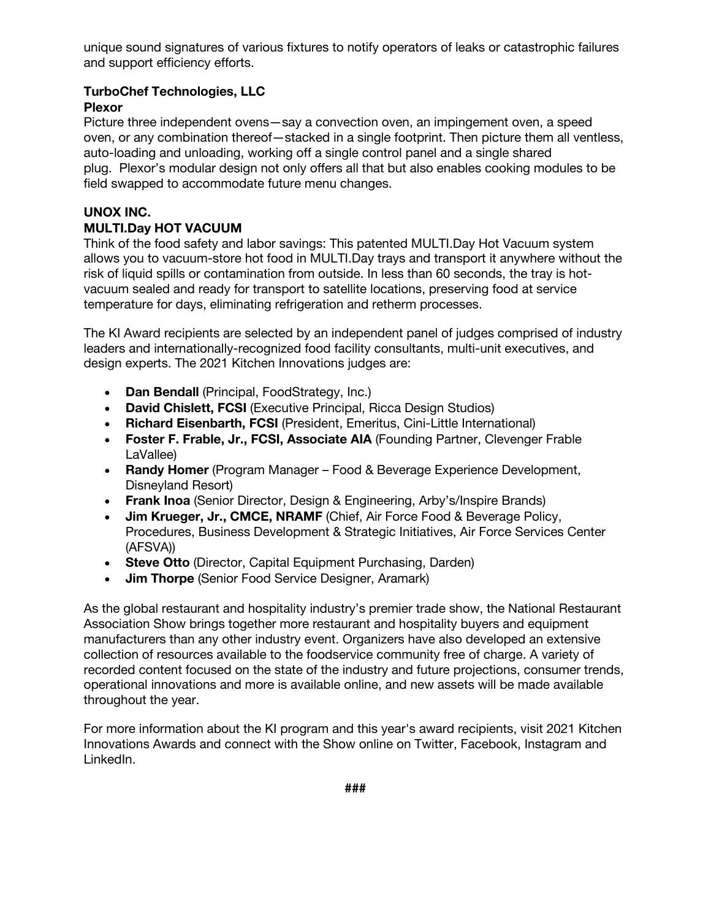unique sound signatures of various fixtures to notify operators of leaks or catastrophic failures and support efficiency efforts.

#### **TurboChef Technologies, LLC Plexor**

Picture three independent ovens—say a convection oven, an impingement oven, a speed oven, or any combination thereof—stacked in a single footprint. Then picture them all ventless, auto-loading and unloading, working off a single control panel and a single shared plug. Plexor's modular design not only offers all that but also enables cooking modules to be field swapped to accommodate future menu changes.

## **UNOX INC.**

## **MULTI.Day HOT VACUUM**

Think of the food safety and labor savings: This patented MULTI.Day Hot Vacuum system allows you to vacuum-store hot food in MULTI.Day trays and transport it anywhere without the risk of liquid spills or contamination from outside. In less than 60 seconds, the tray is hotvacuum sealed and ready for transport to satellite locations, preserving food at service temperature for days, eliminating refrigeration and retherm processes.

The KI Award recipients are selected by an independent panel of judges comprised of industry leaders and internationally-recognized food facility consultants, multi-unit executives, and design experts. The 2021 Kitchen Innovations judges are:

- **Dan Bendall** (Principal, FoodStrategy, Inc.)
- **David Chislett, FCSI** (Executive Principal, Ricca Design Studios)
- **Richard Eisenbarth, FCSI** (President, Emeritus, Cini-Little International)
- **Foster F. Frable, Jr., FCSI, Associate AIA** (Founding Partner, Clevenger Frable LaVallee)
- **Randy Homer** (Program Manager Food & Beverage Experience Development, Disneyland Resort)
- **Frank Inoa** (Senior Director, Design & Engineering, Arby's/Inspire Brands)
- **Jim Krueger, Jr., CMCE, NRAMF** (Chief, Air Force Food & Beverage Policy, Procedures, Business Development & Strategic Initiatives, Air Force Services Center (AFSVA))
- **Steve Otto** (Director, Capital Equipment Purchasing, Darden)
- **Jim Thorpe** (Senior Food Service Designer, Aramark)

As the global restaurant and hospitality industry's premier trade show, the National Restaurant Association Show brings together more restaurant and hospitality buyers and equipment manufacturers than any other industry event. Organizers have also developed an extensive collection of resources available to the foodservice community free of charge. A variety of recorded content focused on the state of the industry and future projections, consumer trends, operational innovations and more is available online, and new assets will be made available throughout the year.

For more information about the KI program and this year's award recipients, visit 2021 Kitchen Innovations Awards and connect with the Show online on Twitter, Facebook, Instagram and LinkedIn.